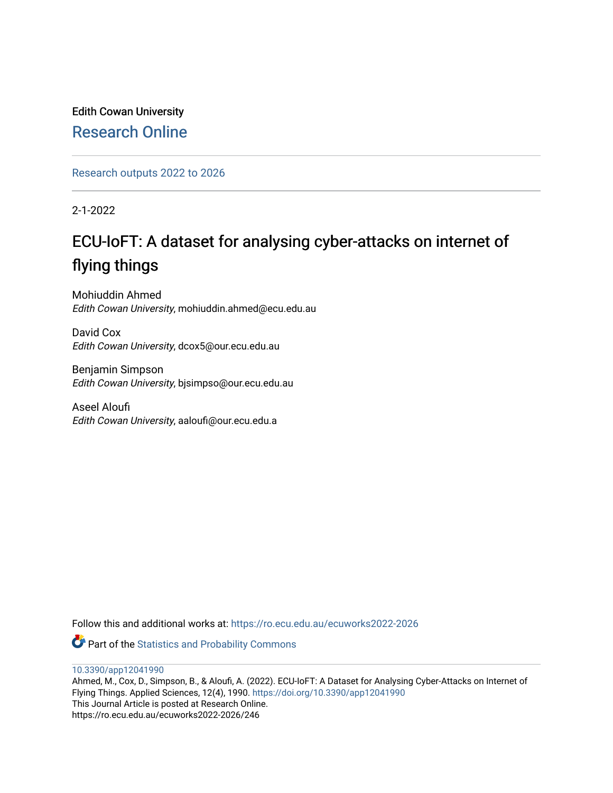Edith Cowan University [Research Online](https://ro.ecu.edu.au/) 

[Research outputs 2022 to 2026](https://ro.ecu.edu.au/ecuworks2022-2026) 

2-1-2022

# ECU-IoFT: A dataset for analysing cyber-attacks on internet of flying things

Mohiuddin Ahmed Edith Cowan University, mohiuddin.ahmed@ecu.edu.au

David Cox Edith Cowan University, dcox5@our.ecu.edu.au

Benjamin Simpson Edith Cowan University, bjsimpso@our.ecu.edu.au

Aseel Aloufi Edith Cowan University, aaloufi@our.ecu.edu.a

Follow this and additional works at: [https://ro.ecu.edu.au/ecuworks2022-2026](https://ro.ecu.edu.au/ecuworks2022-2026?utm_source=ro.ecu.edu.au%2Fecuworks2022-2026%2F246&utm_medium=PDF&utm_campaign=PDFCoverPages)

Part of the [Statistics and Probability Commons](http://network.bepress.com/hgg/discipline/208?utm_source=ro.ecu.edu.au%2Fecuworks2022-2026%2F246&utm_medium=PDF&utm_campaign=PDFCoverPages)

[10.3390/app12041990](http://dx.doi.org/10.3390/app12041990) 

Ahmed, M., Cox, D., Simpson, B., & Aloufi, A. (2022). ECU-IoFT: A Dataset for Analysing Cyber-Attacks on Internet of Flying Things. Applied Sciences, 12(4), 1990.<https://doi.org/10.3390/app12041990> This Journal Article is posted at Research Online. https://ro.ecu.edu.au/ecuworks2022-2026/246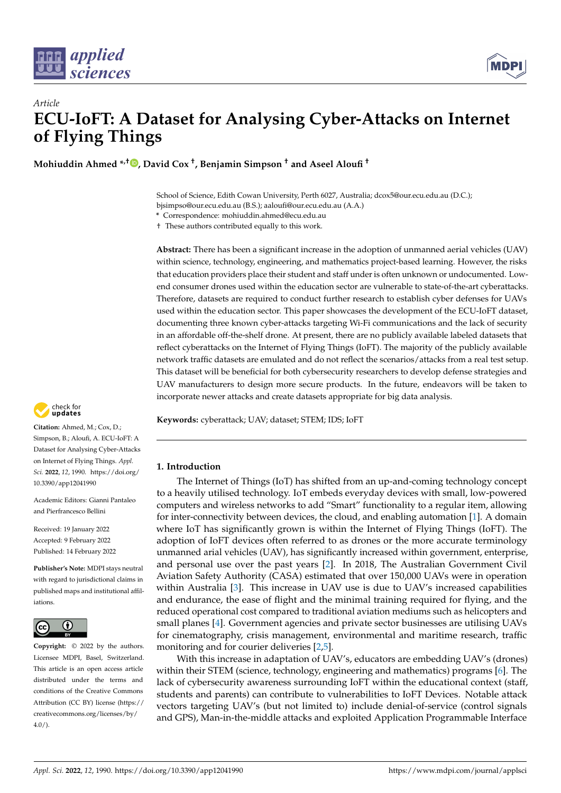



**Mohiuddin Ahmed \*,† [,](https://orcid.org/0000-0002-4559-4768) David Cox † , Benjamin Simpson † and Aseel Aloufi †**

School of Science, Edith Cowan University, Perth 6027, Australia; dcox5@our.ecu.edu.au (D.C.); bjsimpso@our.ecu.edu.au (B.S.); aaloufi@our.ecu.edu.au (A.A.)

**\*** Correspondence: mohiuddin.ahmed@ecu.edu.au

† These authors contributed equally to this work.

**Abstract:** There has been a significant increase in the adoption of unmanned aerial vehicles (UAV) within science, technology, engineering, and mathematics project-based learning. However, the risks that education providers place their student and staff under is often unknown or undocumented. Lowend consumer drones used within the education sector are vulnerable to state-of-the-art cyberattacks. Therefore, datasets are required to conduct further research to establish cyber defenses for UAVs used within the education sector. This paper showcases the development of the ECU-IoFT dataset, documenting three known cyber-attacks targeting Wi-Fi communications and the lack of security in an affordable off-the-shelf drone. At present, there are no publicly available labeled datasets that reflect cyberattacks on the Internet of Flying Things (IoFT). The majority of the publicly available network traffic datasets are emulated and do not reflect the scenarios/attacks from a real test setup. This dataset will be beneficial for both cybersecurity researchers to develop defense strategies and UAV manufacturers to design more secure products. In the future, endeavors will be taken to incorporate newer attacks and create datasets appropriate for big data analysis.

**Keywords:** cyberattack; UAV; dataset; STEM; IDS; IoFT

# **1. Introduction**

The Internet of Things (IoT) has shifted from an up-and-coming technology concept to a heavily utilised technology. IoT embeds everyday devices with small, low-powered computers and wireless networks to add "Smart" functionality to a regular item, allowing for inter-connectivity between devices, the cloud, and enabling automation [\[1\]](#page-10-0). A domain where IoT has significantly grown is within the Internet of Flying Things (IoFT). The adoption of IoFT devices often referred to as drones or the more accurate terminology unmanned arial vehicles (UAV), has significantly increased within government, enterprise, and personal use over the past years [\[2\]](#page-10-1). In 2018, The Australian Government Civil Aviation Safety Authority (CASA) estimated that over 150,000 UAVs were in operation within Australia [\[3\]](#page-11-0). This increase in UAV use is due to UAV's increased capabilities and endurance, the ease of flight and the minimal training required for flying, and the reduced operational cost compared to traditional aviation mediums such as helicopters and small planes [\[4\]](#page-11-1). Government agencies and private sector businesses are utilising UAVs for cinematography, crisis management, environmental and maritime research, traffic monitoring and for courier deliveries [\[2](#page-10-1)[,5\]](#page-11-2).

With this increase in adaptation of UAV's, educators are embedding UAV's (drones) within their STEM (science, technology, engineering and mathematics) programs [\[6\]](#page-11-3). The lack of cybersecurity awareness surrounding IoFT within the educational context (staff, students and parents) can contribute to vulnerabilities to IoFT Devices. Notable attack vectors targeting UAV's (but not limited to) include denial-of-service (control signals and GPS), Man-in-the-middle attacks and exploited Application Programmable Interface



**Citation:** Ahmed, M.; Cox, D.; Simpson, B.; Aloufi, A. ECU-IoFT: A Dataset for Analysing Cyber-Attacks on Internet of Flying Things. *Appl. Sci.* **2022**, *12*, 1990. [https://doi.org/](https://doi.org/10.3390/app12041990) [10.3390/app12041990](https://doi.org/10.3390/app12041990)

Academic Editors: Gianni Pantaleo and Pierfrancesco Bellini

Received: 19 January 2022 Accepted: 9 February 2022 Published: 14 February 2022

**Publisher's Note:** MDPI stays neutral with regard to jurisdictional claims in published maps and institutional affiliations.



**Copyright:** © 2022 by the authors. Licensee MDPI, Basel, Switzerland. This article is an open access article distributed under the terms and conditions of the Creative Commons Attribution (CC BY) license [\(https://](https://creativecommons.org/licenses/by/4.0/) [creativecommons.org/licenses/by/](https://creativecommons.org/licenses/by/4.0/)  $4.0/$ ).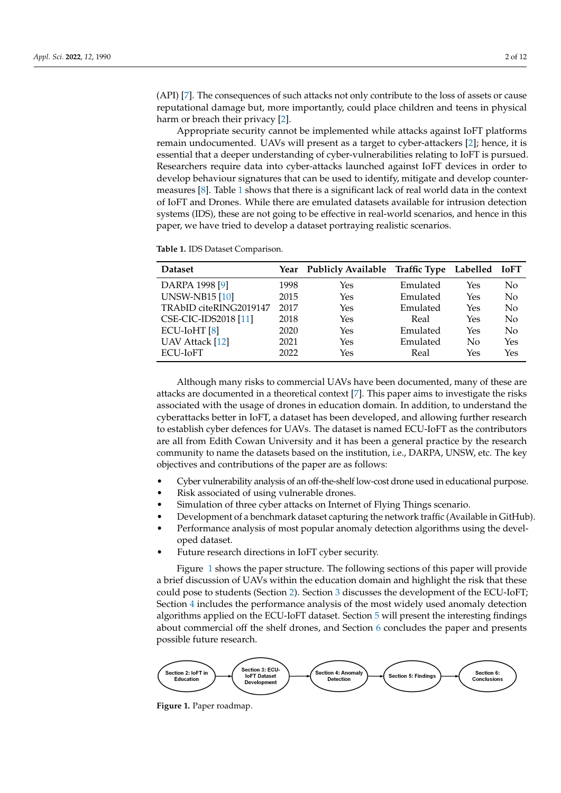(API) [\[7\]](#page-11-4). The consequences of such attacks not only contribute to the loss of assets or cause reputational damage but, more importantly, could place children and teens in physical harm or breach their privacy [\[2\]](#page-10-1).

Appropriate security cannot be implemented while attacks against IoFT platforms remain undocumented. UAVs will present as a target to cyber-attackers [\[2\]](#page-10-1); hence, it is essential that a deeper understanding of cyber-vulnerabilities relating to IoFT is pursued. Researchers require data into cyber-attacks launched against IoFT devices in order to develop behaviour signatures that can be used to identify, mitigate and develop countermeasures [\[8\]](#page-11-5). Table [1](#page-2-0) shows that there is a significant lack of real world data in the context of IoFT and Drones. While there are emulated datasets available for intrusion detection systems (IDS), these are not going to be effective in real-world scenarios, and hence in this paper, we have tried to develop a dataset portraying realistic scenarios.

<span id="page-2-0"></span>**Table 1.** IDS Dataset Comparison.

| <b>Dataset</b>              |      | Year Publicly Available Traffic Type Labelled IoFT |          |     |          |
|-----------------------------|------|----------------------------------------------------|----------|-----|----------|
| DARPA 1998 [9]              | 1998 | Yes                                                | Emulated | Yes | No       |
| <b>UNSW-NB15 [10]</b>       | 2015 | Yes                                                | Emulated | Yes | No       |
| TRAbID citeRING2019147      | 2017 | Yes                                                | Emulated | Yes | No       |
| <b>CSE-CIC-IDS2018</b> [11] | 2018 | Yes                                                | Real     | Yes | $\rm No$ |
| ECU-IoHT [8]                | 2020 | Yes                                                | Emulated | Yes | $\rm No$ |
| <b>UAV Attack</b> [12]      | 2021 | Yes                                                | Emulated | No  | Yes      |
| ECU-IoFT                    | 2022 | Yes                                                | Real     | Yes | Yes      |

Although many risks to commercial UAVs have been documented, many of these are attacks are documented in a theoretical context [\[7\]](#page-11-4). This paper aims to investigate the risks associated with the usage of drones in education domain. In addition, to understand the cyberattacks better in IoFT, a dataset has been developed, and allowing further research to establish cyber defences for UAVs. The dataset is named ECU-IoFT as the contributors are all from Edith Cowan University and it has been a general practice by the research community to name the datasets based on the institution, i.e., DARPA, UNSW, etc. The key objectives and contributions of the paper are as follows:

- Cyber vulnerability analysis of an off-the-shelf low-cost drone used in educational purpose.
- Risk associated of using vulnerable drones.
- Simulation of three cyber attacks on Internet of Flying Things scenario.
- Development of a benchmark dataset capturing the network traffic (Available in GitHub).
- Performance analysis of most popular anomaly detection algorithms using the developed dataset.
- Future research directions in IoFT cyber security.

Figure [1](#page-2-1) shows the paper structure. The following sections of this paper will provide a brief discussion of UAVs within the education domain and highlight the risk that these could pose to students (Section [2\)](#page-3-0). Section [3](#page-4-0) discusses the development of the ECU-IoFT; Section [4](#page-7-0) includes the performance analysis of the most widely used anomaly detection algorithms applied on the ECU-IoFT dataset. Section [5](#page-9-0) will present the interesting findings about commercial off the shelf drones, and Section [6](#page-10-2) concludes the paper and presents possible future research.

<span id="page-2-1"></span>

**Figure 1.** Paper roadmap.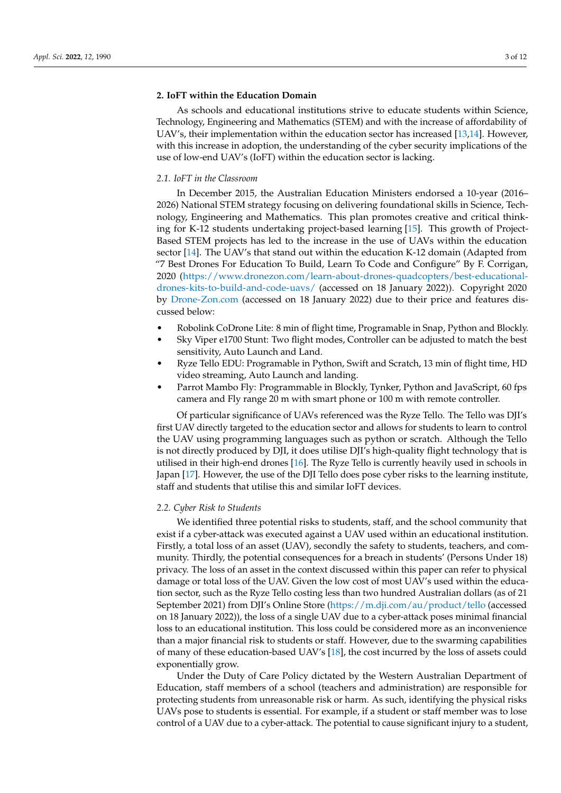# <span id="page-3-0"></span>**2. IoFT within the Education Domain**

As schools and educational institutions strive to educate students within Science, Technology, Engineering and Mathematics (STEM) and with the increase of affordability of UAV's, their implementation within the education sector has increased [\[13](#page-11-10)[,14\]](#page-11-11). However, with this increase in adoption, the understanding of the cyber security implications of the use of low-end UAV's (IoFT) within the education sector is lacking.

# *2.1. IoFT in the Classroom*

In December 2015, the Australian Education Ministers endorsed a 10-year (2016– 2026) National STEM strategy focusing on delivering foundational skills in Science, Technology, Engineering and Mathematics. This plan promotes creative and critical thinking for K-12 students undertaking project-based learning [\[15\]](#page-11-12). This growth of Project-Based STEM projects has led to the increase in the use of UAVs within the education sector [\[14\]](#page-11-11). The UAV's that stand out within the education K-12 domain (Adapted from "7 Best Drones For Education To Build, Learn To Code and Configure" By F. Corrigan, 2020 [\(https://www.dronezon.com/learn-about-drones-quadcopters/best-educational](https://www .dronezon.com/learn-about-drones-quadcopters/best-educational-drones-kits-to-build-and-code-uavs/)[drones-kits-to-build-and-code-uavs/](https://www .dronezon.com/learn-about-drones-quadcopters/best-educational-drones-kits-to-build-and-code-uavs/) (accessed on 18 January 2022)). Copyright 2020 by <Drone-Zon.com> (accessed on 18 January 2022) due to their price and features discussed below:

- Robolink CoDrone Lite: 8 min of flight time, Programable in Snap, Python and Blockly.
- Sky Viper e1700 Stunt: Two flight modes, Controller can be adjusted to match the best sensitivity, Auto Launch and Land.
- Ryze Tello EDU: Programable in Python, Swift and Scratch, 13 min of flight time, HD video streaming, Auto Launch and landing.
- Parrot Mambo Fly: Programmable in Blockly, Tynker, Python and JavaScript, 60 fps camera and Fly range 20 m with smart phone or 100 m with remote controller.

Of particular significance of UAVs referenced was the Ryze Tello. The Tello was DJI's first UAV directly targeted to the education sector and allows for students to learn to control the UAV using programming languages such as python or scratch. Although the Tello is not directly produced by DJI, it does utilise DJI's high-quality flight technology that is utilised in their high-end drones [\[16\]](#page-11-13). The Ryze Tello is currently heavily used in schools in Japan [\[17\]](#page-11-14). However, the use of the DJI Tello does pose cyber risks to the learning institute, staff and students that utilise this and similar IoFT devices.

## *2.2. Cyber Risk to Students*

We identified three potential risks to students, staff, and the school community that exist if a cyber-attack was executed against a UAV used within an educational institution. Firstly, a total loss of an asset (UAV), secondly the safety to students, teachers, and community. Thirdly, the potential consequences for a breach in students' (Persons Under 18) privacy. The loss of an asset in the context discussed within this paper can refer to physical damage or total loss of the UAV. Given the low cost of most UAV's used within the education sector, such as the Ryze Tello costing less than two hundred Australian dollars (as of 21 September 2021) from DJI's Online Store [\(https://m.dji.com/au/product/tello](https://m.dji.com/au/product/tello) (accessed on 18 January 2022)), the loss of a single UAV due to a cyber-attack poses minimal financial loss to an educational institution. This loss could be considered more as an inconvenience than a major financial risk to students or staff. However, due to the swarming capabilities of many of these education-based UAV's [\[18\]](#page-11-15), the cost incurred by the loss of assets could exponentially grow.

Under the Duty of Care Policy dictated by the Western Australian Department of Education, staff members of a school (teachers and administration) are responsible for protecting students from unreasonable risk or harm. As such, identifying the physical risks UAVs pose to students is essential. For example, if a student or staff member was to lose control of a UAV due to a cyber-attack. The potential to cause significant injury to a student,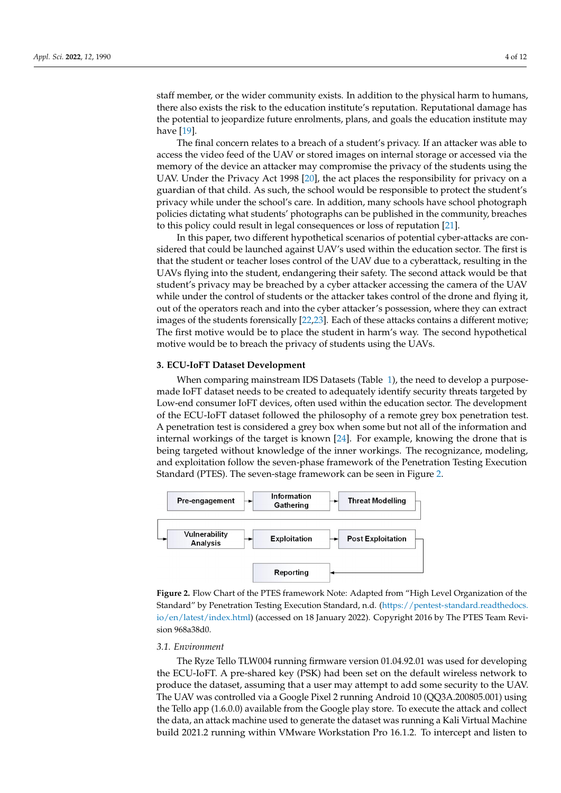staff member, or the wider community exists. In addition to the physical harm to humans, there also exists the risk to the education institute's reputation. Reputational damage has the potential to jeopardize future enrolments, plans, and goals the education institute may have [\[19\]](#page-11-16).

The final concern relates to a breach of a student's privacy. If an attacker was able to access the video feed of the UAV or stored images on internal storage or accessed via the memory of the device an attacker may compromise the privacy of the students using the UAV. Under the Privacy Act 1998 [\[20\]](#page-11-17), the act places the responsibility for privacy on a guardian of that child. As such, the school would be responsible to protect the student's privacy while under the school's care. In addition, many schools have school photograph policies dictating what students' photographs can be published in the community, breaches to this policy could result in legal consequences or loss of reputation [\[21\]](#page-11-18).

In this paper, two different hypothetical scenarios of potential cyber-attacks are considered that could be launched against UAV's used within the education sector. The first is that the student or teacher loses control of the UAV due to a cyberattack, resulting in the UAVs flying into the student, endangering their safety. The second attack would be that student's privacy may be breached by a cyber attacker accessing the camera of the UAV while under the control of students or the attacker takes control of the drone and flying it, out of the operators reach and into the cyber attacker's possession, where they can extract images of the students forensically [\[22](#page-11-19)[,23\]](#page-11-20). Each of these attacks contains a different motive; The first motive would be to place the student in harm's way. The second hypothetical motive would be to breach the privacy of students using the UAVs.

## <span id="page-4-0"></span>**3. ECU-IoFT Dataset Development**

When comparing mainstream IDS Datasets (Table [1\)](#page-2-0), the need to develop a purposemade IoFT dataset needs to be created to adequately identify security threats targeted by Low-end consumer IoFT devices, often used within the education sector. The development of the ECU-IoFT dataset followed the philosophy of a remote grey box penetration test. A penetration test is considered a grey box when some but not all of the information and internal workings of the target is known [\[24\]](#page-11-21). For example, knowing the drone that is being targeted without knowledge of the inner workings. The recognizance, modeling, and exploitation follow the seven-phase framework of the Penetration Testing Execution Standard (PTES). The seven-stage framework can be seen in Figure [2.](#page-4-1)

<span id="page-4-1"></span>

**Figure 2.** Flow Chart of the PTES framework Note: Adapted from "High Level Organization of the Standard" by Penetration Testing Execution Standard, n.d. [\(https://pentest-standard.readthedocs.](https://pentest-standard.readthedocs.io/en/latest/index.html) [io/en/latest/index.html\)](https://pentest-standard.readthedocs.io/en/latest/index.html) (accessed on 18 January 2022). Copyright 2016 by The PTES Team Revision 968a38d0.

#### *3.1. Environment*

The Ryze Tello TLW004 running firmware version 01.04.92.01 was used for developing the ECU-IoFT. A pre-shared key (PSK) had been set on the default wireless network to produce the dataset, assuming that a user may attempt to add some security to the UAV. The UAV was controlled via a Google Pixel 2 running Android 10 (QQ3A.200805.001) using the Tello app (1.6.0.0) available from the Google play store. To execute the attack and collect the data, an attack machine used to generate the dataset was running a Kali Virtual Machine build 2021.2 running within VMware Workstation Pro 16.1.2. To intercept and listen to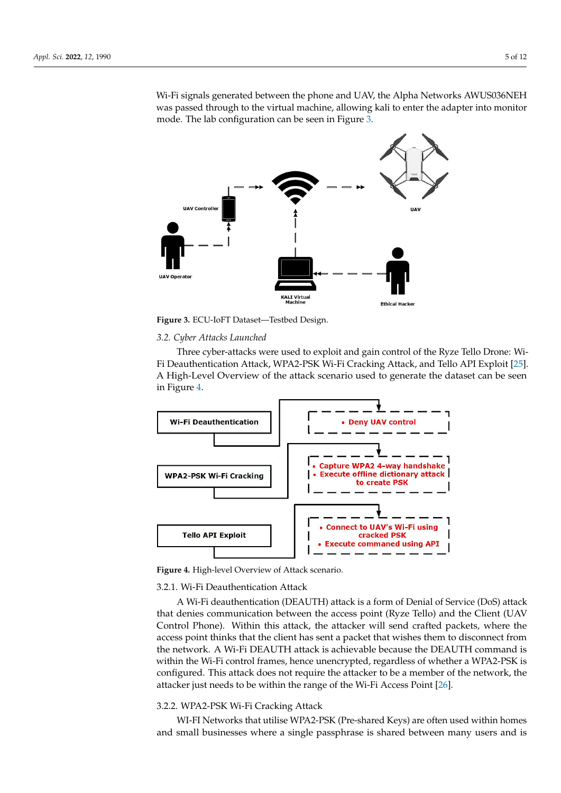Wi-Fi signals generated between the phone and UAV, the Alpha Networks AWUS036NEH was passed through to the virtual machine, allowing kali to enter the adapter into monitor mode. The lab configuration can be seen in Figure [3.](#page-5-0)

<span id="page-5-0"></span>

**Figure 3.** ECU-IoFT Dataset—Testbed Design.

## *3.2. Cyber Attacks Launched*

Three cyber-attacks were used to exploit and gain control of the Ryze Tello Drone: Wi-Fi Deauthentication Attack, WPA2-PSK Wi-Fi Cracking Attack, and Tello API Exploit [\[25\]](#page-11-22). A High-Level Overview of the attack scenario used to generate the dataset can be seen in Figure [4.](#page-5-1)

<span id="page-5-1"></span>

**Figure 4.** High-level Overview of Attack scenario.

# 3.2.1. Wi-Fi Deauthentication Attack

A Wi-Fi deauthentication (DEAUTH) attack is a form of Denial of Service (DoS) attack that denies communication between the access point (Ryze Tello) and the Client (UAV Control Phone). Within this attack, the attacker will send crafted packets, where the access point thinks that the client has sent a packet that wishes them to disconnect from the network. A Wi-Fi DEAUTH attack is achievable because the DEAUTH command is within the Wi-Fi control frames, hence unencrypted, regardless of whether a WPA2-PSK is configured. This attack does not require the attacker to be a member of the network, the attacker just needs to be within the range of the Wi-Fi Access Point [\[26\]](#page-11-23).

# <span id="page-5-2"></span>3.2.2. WPA2-PSK Wi-Fi Cracking Attack

WI-FI Networks that utilise WPA2-PSK (Pre-shared Keys) are often used within homes and small businesses where a single passphrase is shared between many users and is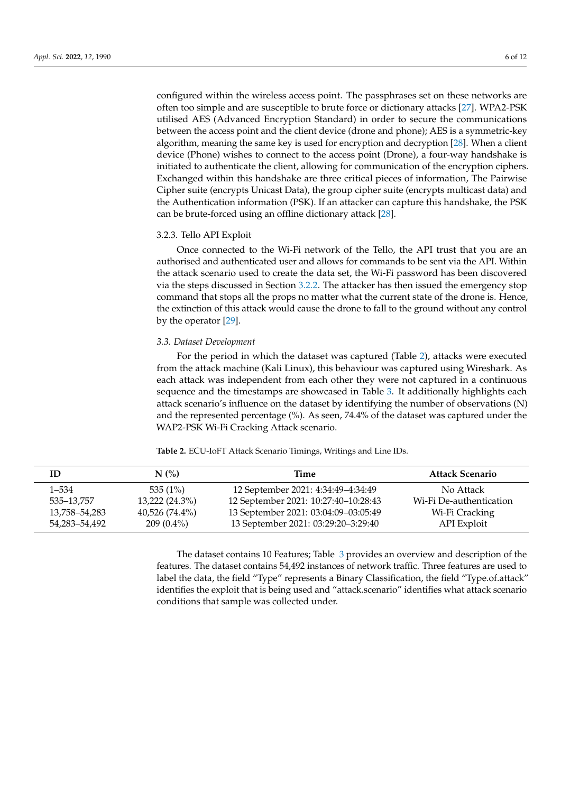configured within the wireless access point. The passphrases set on these networks are often too simple and are susceptible to brute force or dictionary attacks [\[27\]](#page-11-24). WPA2-PSK utilised AES (Advanced Encryption Standard) in order to secure the communications between the access point and the client device (drone and phone); AES is a symmetric-key algorithm, meaning the same key is used for encryption and decryption [\[28\]](#page-11-25). When a client device (Phone) wishes to connect to the access point (Drone), a four-way handshake is initiated to authenticate the client, allowing for communication of the encryption ciphers. Exchanged within this handshake are three critical pieces of information, The Pairwise Cipher suite (encrypts Unicast Data), the group cipher suite (encrypts multicast data) and the Authentication information (PSK). If an attacker can capture this handshake, the PSK can be brute-forced using an offline dictionary attack [\[28\]](#page-11-25).

## 3.2.3. Tello API Exploit

Once connected to the Wi-Fi network of the Tello, the API trust that you are an authorised and authenticated user and allows for commands to be sent via the API. Within the attack scenario used to create the data set, the Wi-Fi password has been discovered via the steps discussed in Section [3.2.2.](#page-5-2) The attacker has then issued the emergency stop command that stops all the props no matter what the current state of the drone is. Hence, the extinction of this attack would cause the drone to fall to the ground without any control by the operator [\[29\]](#page-11-26).

## *3.3. Dataset Development*

For the period in which the dataset was captured (Table [2\)](#page-6-0), attacks were executed from the attack machine (Kali Linux), this behaviour was captured using Wireshark. As each attack was independent from each other they were not captured in a continuous sequence and the timestamps are showcased in Table [3.](#page-7-1) It additionally highlights each attack scenario's influence on the dataset by identifying the number of observations (N) and the represented percentage (%). As seen, 74.4% of the dataset was captured under the WAP2-PSK Wi-Fi Cracking Attack scenario.

| ID            | $N$ $\left(\frac{9}{6}\right)$ | Time                                 | <b>Attack Scenario</b>  |
|---------------|--------------------------------|--------------------------------------|-------------------------|
| 1–534         | 535(1%)                        | 12 September 2021: 4:34:49-4:34:49   | No Attack               |
| 535–13.757    | $13,222(24.3\%)$               | 12 September 2021: 10:27:40-10:28:43 | Wi-Fi De-authentication |
| 13,758–54,283 | $40,526(74.4\%)$               | 13 September 2021: 03:04:09-03:05:49 | Wi-Fi Cracking          |
| 54,283–54,492 | $209(0.4\%)$                   | 13 September 2021: 03:29:20-3:29:40  | API Exploit             |

<span id="page-6-0"></span>**Table 2.** ECU-IoFT Attack Scenario Timings, Writings and Line IDs.

The dataset contains 10 Features; Table [3](#page-7-1) provides an overview and description of the features. The dataset contains 54,492 instances of network traffic. Three features are used to label the data, the field "Type" represents a Binary Classification, the field "Type.of.attack" identifies the exploit that is being used and "attack.scenario" identifies what attack scenario conditions that sample was collected under.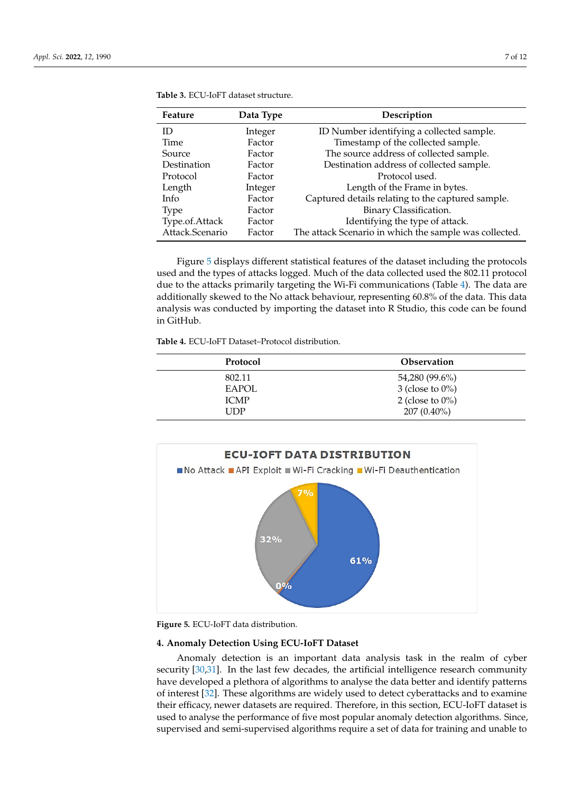| Feature         | Data Type | Description                                            |
|-----------------|-----------|--------------------------------------------------------|
| ID              | Integer   | ID Number identifying a collected sample.              |
| Time            | Factor    | Timestamp of the collected sample.                     |
| <b>Source</b>   | Factor    | The source address of collected sample.                |
| Destination     | Factor    | Destination address of collected sample.               |
| Protocol        | Factor    | Protocol used.                                         |
| Length          | Integer   | Length of the Frame in bytes.                          |
| Info            | Factor    | Captured details relating to the captured sample.      |
| <b>Type</b>     | Factor    | Binary Classification.                                 |
| Type.of.Attack  | Factor    | Identifying the type of attack.                        |
| Attack.Scenario | Factor    | The attack Scenario in which the sample was collected. |

<span id="page-7-1"></span>**Table 3.** ECU-IoFT dataset structure.

Figure [5](#page-7-2) displays different statistical features of the dataset including the protocols used and the types of attacks logged. Much of the data collected used the 802.11 protocol due to the attacks primarily targeting the Wi-Fi communications (Table [4\)](#page-7-3). The data are additionally skewed to the No attack behaviour, representing 60.8% of the data. This data analysis was conducted by importing the dataset into R Studio, this code can be found in GitHub.

<span id="page-7-3"></span>**Table 4.** ECU-IoFT Dataset–Protocol distribution.

| Protocol     | <b>Observation</b>  |
|--------------|---------------------|
| 802.11       | 54,280 (99.6%)      |
| <b>EAPOL</b> | 3 (close to $0\%$ ) |
| <b>ICMP</b>  | 2 (close to $0\%$ ) |
| I IDP        | $207(0.40\%)$       |

<span id="page-7-2"></span>

**Figure 5.** ECU-IoFT data distribution.

# <span id="page-7-0"></span>**4. Anomaly Detection Using ECU-IoFT Dataset**

Anomaly detection is an important data analysis task in the realm of cyber security [\[30,](#page-11-27)[31\]](#page-11-28). In the last few decades, the artificial intelligence research community have developed a plethora of algorithms to analyse the data better and identify patterns of interest [\[32\]](#page-12-0). These algorithms are widely used to detect cyberattacks and to examine their efficacy, newer datasets are required. Therefore, in this section, ECU-IoFT dataset is used to analyse the performance of five most popular anomaly detection algorithms. Since, supervised and semi-supervised algorithms require a set of data for training and unable to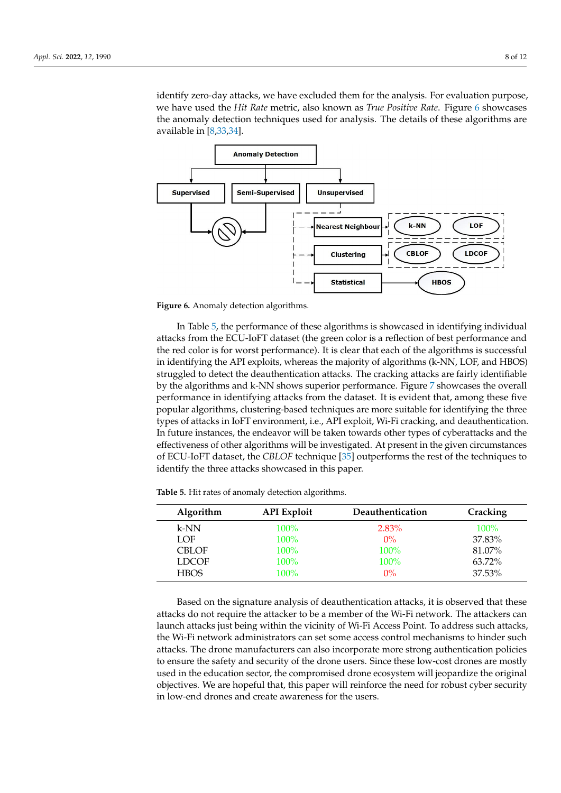identify zero-day attacks, we have excluded them for the analysis. For evaluation purpose, we have used the *Hit Rate* metric, also known as *True Positive Rate*. Figure [6](#page-8-0) showcases the anomaly detection techniques used for analysis. The details of these algorithms are available in [\[8](#page-11-5)[,33](#page-12-1)[,34\]](#page-12-2).

<span id="page-8-0"></span>

**Figure 6.** Anomaly detection algorithms.

In Table [5,](#page-8-1) the performance of these algorithms is showcased in identifying individual attacks from the ECU-IoFT dataset (the green color is a reflection of best performance and the red color is for worst performance). It is clear that each of the algorithms is successful in identifying the API exploits, whereas the majority of algorithms (k-NN, LOF, and HBOS) struggled to detect the deauthentication attacks. The cracking attacks are fairly identifiable by the algorithms and k-NN shows superior performance. Figure [7](#page-9-1) showcases the overall performance in identifying attacks from the dataset. It is evident that, among these five popular algorithms, clustering-based techniques are more suitable for identifying the three types of attacks in IoFT environment, i.e., API exploit, Wi-Fi cracking, and deauthentication. In future instances, the endeavor will be taken towards other types of cyberattacks and the effectiveness of other algorithms will be investigated. At present in the given circumstances of ECU-IoFT dataset, the *CBLOF* technique [\[35\]](#page-12-3) outperforms the rest of the techniques to identify the three attacks showcased in this paper.

<span id="page-8-1"></span>**Table 5.** Hit rates of anomaly detection algorithms.

| <b>Algorithm</b> | <b>API</b> Exploit | Deauthentication | Cracking |
|------------------|--------------------|------------------|----------|
| $k-NN$           | 100%               | $2.83\%$         | $100\%$  |
| LOF              | 100%               | $0\%$            | 37.83%   |
| <b>CBLOF</b>     | $100\%$            | <b>100%</b>      | 81.07%   |
| <b>LDCOF</b>     | 100%               | <b>100%</b>      | 63.72%   |
| <b>HBOS</b>      | 100%               | $0\%$            | 37.53%   |

Based on the signature analysis of deauthentication attacks, it is observed that these attacks do not require the attacker to be a member of the Wi-Fi network. The attackers can launch attacks just being within the vicinity of Wi-Fi Access Point. To address such attacks, the Wi-Fi network administrators can set some access control mechanisms to hinder such attacks. The drone manufacturers can also incorporate more strong authentication policies to ensure the safety and security of the drone users. Since these low-cost drones are mostly used in the education sector, the compromised drone ecosystem will jeopardize the original objectives. We are hopeful that, this paper will reinforce the need for robust cyber security in low-end drones and create awareness for the users.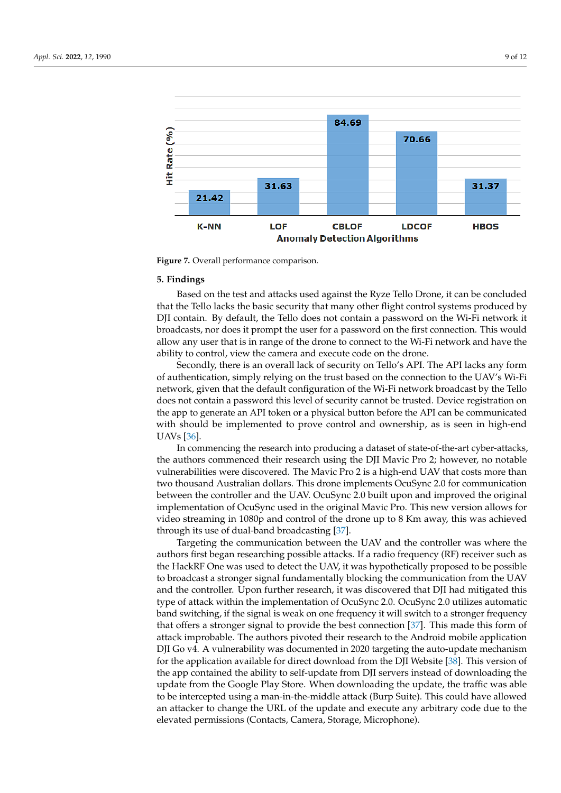<span id="page-9-1"></span>

**Figure 7.** Overall performance comparison.

#### <span id="page-9-0"></span>**5. Findings**

Based on the test and attacks used against the Ryze Tello Drone, it can be concluded that the Tello lacks the basic security that many other flight control systems produced by DJI contain. By default, the Tello does not contain a password on the Wi-Fi network it broadcasts, nor does it prompt the user for a password on the first connection. This would allow any user that is in range of the drone to connect to the Wi-Fi network and have the ability to control, view the camera and execute code on the drone.

Secondly, there is an overall lack of security on Tello's API. The API lacks any form of authentication, simply relying on the trust based on the connection to the UAV's Wi-Fi network, given that the default configuration of the Wi-Fi network broadcast by the Tello does not contain a password this level of security cannot be trusted. Device registration on the app to generate an API token or a physical button before the API can be communicated with should be implemented to prove control and ownership, as is seen in high-end UAVs [\[36\]](#page-12-4).

In commencing the research into producing a dataset of state-of-the-art cyber-attacks, the authors commenced their research using the DJI Mavic Pro 2; however, no notable vulnerabilities were discovered. The Mavic Pro 2 is a high-end UAV that costs more than two thousand Australian dollars. This drone implements OcuSync 2.0 for communication between the controller and the UAV. OcuSync 2.0 built upon and improved the original implementation of OcuSync used in the original Mavic Pro. This new version allows for video streaming in 1080p and control of the drone up to 8 Km away, this was achieved through its use of dual-band broadcasting [\[37\]](#page-12-5).

Targeting the communication between the UAV and the controller was where the authors first began researching possible attacks. If a radio frequency (RF) receiver such as the HackRF One was used to detect the UAV, it was hypothetically proposed to be possible to broadcast a stronger signal fundamentally blocking the communication from the UAV and the controller. Upon further research, it was discovered that DJI had mitigated this type of attack within the implementation of OcuSync 2.0. OcuSync 2.0 utilizes automatic band switching, if the signal is weak on one frequency it will switch to a stronger frequency that offers a stronger signal to provide the best connection [\[37\]](#page-12-5). This made this form of attack improbable. The authors pivoted their research to the Android mobile application DJI Go v4. A vulnerability was documented in 2020 targeting the auto-update mechanism for the application available for direct download from the DJI Website [\[38\]](#page-12-6). This version of the app contained the ability to self-update from DJI servers instead of downloading the update from the Google Play Store. When downloading the update, the traffic was able to be intercepted using a man-in-the-middle attack (Burp Suite). This could have allowed an attacker to change the URL of the update and execute any arbitrary code due to the elevated permissions (Contacts, Camera, Storage, Microphone).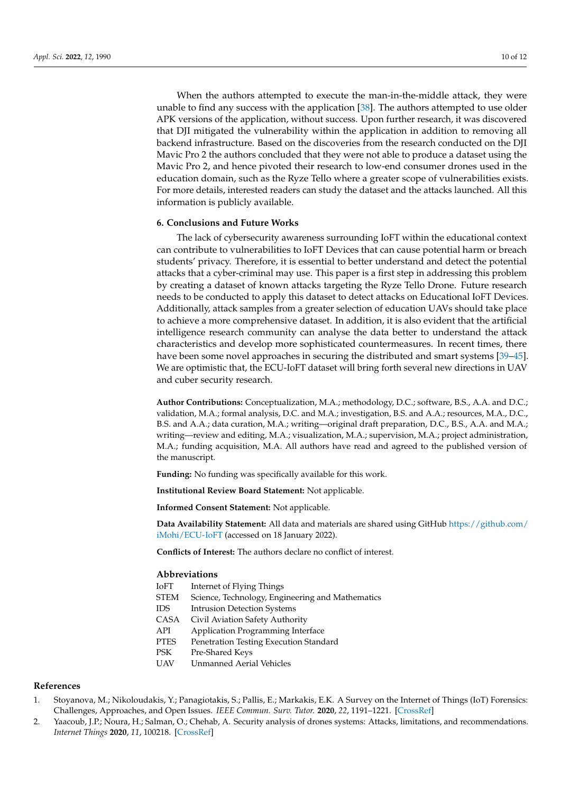When the authors attempted to execute the man-in-the-middle attack, they were unable to find any success with the application [\[38\]](#page-12-6). The authors attempted to use older APK versions of the application, without success. Upon further research, it was discovered that DJI mitigated the vulnerability within the application in addition to removing all backend infrastructure. Based on the discoveries from the research conducted on the DJI Mavic Pro 2 the authors concluded that they were not able to produce a dataset using the Mavic Pro 2, and hence pivoted their research to low-end consumer drones used in the education domain, such as the Ryze Tello where a greater scope of vulnerabilities exists. For more details, interested readers can study the dataset and the attacks launched. All this information is publicly available.

## <span id="page-10-2"></span>**6. Conclusions and Future Works**

The lack of cybersecurity awareness surrounding IoFT within the educational context can contribute to vulnerabilities to IoFT Devices that can cause potential harm or breach students' privacy. Therefore, it is essential to better understand and detect the potential attacks that a cyber-criminal may use. This paper is a first step in addressing this problem by creating a dataset of known attacks targeting the Ryze Tello Drone. Future research needs to be conducted to apply this dataset to detect attacks on Educational IoFT Devices. Additionally, attack samples from a greater selection of education UAVs should take place to achieve a more comprehensive dataset. In addition, it is also evident that the artificial intelligence research community can analyse the data better to understand the attack characteristics and develop more sophisticated countermeasures. In recent times, there have been some novel approaches in securing the distributed and smart systems [\[39](#page-12-7)[–45\]](#page-12-8). We are optimistic that, the ECU-IoFT dataset will bring forth several new directions in UAV and cuber security research.

**Author Contributions:** Conceptualization, M.A.; methodology, D.C.; software, B.S., A.A. and D.C.; validation, M.A.; formal analysis, D.C. and M.A.; investigation, B.S. and A.A.; resources, M.A., D.C., B.S. and A.A.; data curation, M.A.; writing—original draft preparation, D.C., B.S., A.A. and M.A.; writing—review and editing, M.A.; visualization, M.A.; supervision, M.A.; project administration, M.A.; funding acquisition, M.A. All authors have read and agreed to the published version of the manuscript.

**Funding:** No funding was specifically available for this work.

**Institutional Review Board Statement:** Not applicable.

**Informed Consent Statement:** Not applicable.

**Data Availability Statement:** All data and materials are shared using GitHub [https://github.com/](https://github.com/iMohi/ECU-IoFT) [iMohi/ECU-IoFT](https://github.com/iMohi/ECU-IoFT) (accessed on 18 January 2022).

**Conflicts of Interest:** The authors declare no conflict of interest.

## **Abbreviations**

| IoFT | Internet of Flying Things                        |
|------|--------------------------------------------------|
| STEM | Science, Technology, Engineering and Mathematics |
| IDS  | <b>Intrusion Detection Systems</b>               |
| CASA | Civil Aviation Safety Authority                  |
| API  | Application Programming Interface                |
| PTES | Penetration Testing Execution Standard           |
| PSK  | Pre-Shared Keys                                  |
| UAV  | <b>Unmanned Aerial Vehicles</b>                  |
|      |                                                  |

## **References**

- <span id="page-10-0"></span>1. Stoyanova, M.; Nikoloudakis, Y.; Panagiotakis, S.; Pallis, E.; Markakis, E.K. A Survey on the Internet of Things (IoT) Forensics: Challenges, Approaches, and Open Issues. *IEEE Commun. Surv. Tutor.* **2020**, *22*, 1191–1221. [\[CrossRef\]](http://doi.org/10.1109/COMST.2019.2962586)
- <span id="page-10-1"></span>2. Yaacoub, J.P.; Noura, H.; Salman, O.; Chehab, A. Security analysis of drones systems: Attacks, limitations, and recommendations. *Internet Things* **2020**, *11*, 100218. [\[CrossRef\]](http://dx.doi.org/10.1016/j.iot.2020.100218)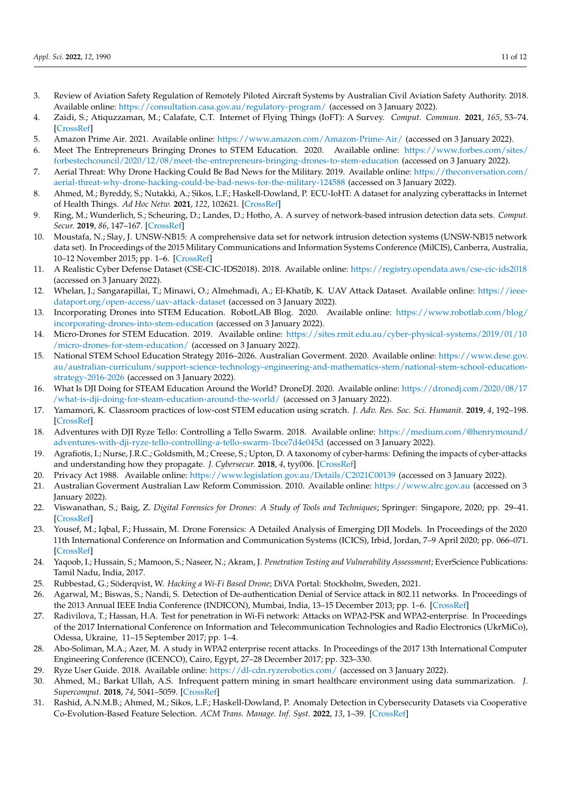- <span id="page-11-0"></span>3. Review of Aviation Safety Regulation of Remotely Piloted Aircraft Systems by Australian Civil Aviation Safety Authority. 2018. Available online: <https://consultation.casa.gov.au/regulatory-program/> (accessed on 3 January 2022).
- <span id="page-11-1"></span>4. Zaidi, S.; Atiquzzaman, M.; Calafate, C.T. Internet of Flying Things (IoFT): A Survey. *Comput. Commun.* **2021**, *165*, 53–74. [\[CrossRef\]](http://dx.doi.org/10.1016/j.comcom.2020.10.023)
- <span id="page-11-2"></span>5. Amazon Prime Air. 2021. Available online: <https://www.amazon.com/Amazon-Prime-Air/> (accessed on 3 January 2022).
- <span id="page-11-3"></span>6. Meet The Entrepreneurs Bringing Drones to STEM Education. 2020. Available online: [https://www.forbes.com/sites/](https://www.forbes.com/sites/forbestechcouncil/2020/12/08/meet-the-entrepreneurs-bringing-drones-to-stem-education) [forbestechcouncil/2020/12/08/meet-the-entrepreneurs-bringing-drones-to-stem-education](https://www.forbes.com/sites/forbestechcouncil/2020/12/08/meet-the-entrepreneurs-bringing-drones-to-stem-education) (accessed on 3 January 2022).
- <span id="page-11-4"></span>7. Aerial Threat: Why Drone Hacking Could Be Bad News for the Military. 2019. Available online: [https://theconversation.com/](https://theconversation.com/aerial-threat-why-drone-hacking-could-be-bad-news-for-the-military-124588) [aerial-threat-why-drone-hacking-could-be-bad-news-for-the-military-124588](https://theconversation.com/aerial-threat-why-drone-hacking-could-be-bad-news-for-the-military-124588) (accessed on 3 January 2022).
- <span id="page-11-5"></span>8. Ahmed, M.; Byreddy, S.; Nutakki, A.; Sikos, L.F.; Haskell-Dowland, P. ECU-IoHT: A dataset for analyzing cyberattacks in Internet of Health Things. *Ad Hoc Netw.* **2021**, *122*, 102621. [\[CrossRef\]](http://dx.doi.org/10.1016/j.adhoc.2021.102621)
- <span id="page-11-6"></span>9. Ring, M.; Wunderlich, S.; Scheuring, D.; Landes, D.; Hotho, A. A survey of network-based intrusion detection data sets. *Comput. Secur.* **2019**, *86*, 147–167. [\[CrossRef\]](http://dx.doi.org/10.1016/j.cose.2019.06.005)
- <span id="page-11-7"></span>10. Moustafa, N.; Slay, J. UNSW-NB15: A comprehensive data set for network intrusion detection systems (UNSW-NB15 network data set). In Proceedings of the 2015 Military Communications and Information Systems Conference (MilCIS), Canberra, Australia, 10–12 November 2015; pp. 1–6. [\[CrossRef\]](http://dx.doi.org/10.1109/MilCIS.2015.7348942)
- <span id="page-11-8"></span>11. A Realistic Cyber Defense Dataset (CSE-CIC-IDS2018). 2018. Available online: <https://registry.opendata.aws/cse-cic-ids2018> (accessed on 3 January 2022).
- <span id="page-11-9"></span>12. Whelan, J.; Sangarapillai, T.; Minawi, O.; Almehmadi, A.; El-Khatib, K. UAV Attack Dataset. Available online: [https://ieee](https://ieee-dataport.org/open-access/uav-attack-dataset)[dataport.org/open-access/uav-attack-dataset](https://ieee-dataport.org/open-access/uav-attack-dataset) (accessed on 3 January 2022).
- <span id="page-11-10"></span>13. Incorporating Drones into STEM Education. RobotLAB Blog. 2020. Available online: [https://www.robotlab.com/blog/](https://www.robotlab.com/blog/incorporating-drones-into-stem-education ) [incorporating-drones-into-stem-education](https://www.robotlab.com/blog/incorporating-drones-into-stem-education ) (accessed on 3 January 2022).
- <span id="page-11-11"></span>14. Micro-Drones for STEM Education. 2019. Available online: [https://sites.rmit.edu.au/cyber-physical-systems/2019/01/10](https://sites.rmit.edu.au/cyber-physical-systems/2019/01/10/micro-drones-for-stem-education/) [/micro-drones-for-stem-education/](https://sites.rmit.edu.au/cyber-physical-systems/2019/01/10/micro-drones-for-stem-education/) (accessed on 3 January 2022).
- <span id="page-11-12"></span>15. National STEM School Education Strategy 2016–2026. Australian Goverment. 2020. Available online: [https://www.dese.gov.](https://www.dese.gov.au/australian-curriculum/support-science-technology-engineering-and-mathematics-stem/national-stem-school-education-strategy-2016-2026) [au/australian-curriculum/support-science-technology-engineering-and-mathematics-stem/national-stem-school-education](https://www.dese.gov.au/australian-curriculum/support-science-technology-engineering-and-mathematics-stem/national-stem-school-education-strategy-2016-2026)[strategy-2016-2026](https://www.dese.gov.au/australian-curriculum/support-science-technology-engineering-and-mathematics-stem/national-stem-school-education-strategy-2016-2026) (accessed on 3 January 2022).
- <span id="page-11-13"></span>16. What Is DJI Doing for STEAM Education Around the World? DroneDJ. 2020. Available online: [https://dronedj.com/2020/08/17](https://dronedj.com/2020/08/17/what-is-dji-doing-for-steam-education-around-the-world/) [/what-is-dji-doing-for-steam-education-around-the-world/](https://dronedj.com/2020/08/17/what-is-dji-doing-for-steam-education-around-the-world/) (accessed on 3 January 2022).
- <span id="page-11-14"></span>17. Yamamori, K. Classroom practices of low-cost STEM education using scratch. *J. Adv. Res. Soc. Sci. Humanit.* **2019**, *4*, 192–198. [\[CrossRef\]](http://dx.doi.org/10.2139/ssrn.3791166)
- <span id="page-11-15"></span>18. Adventures with DJI Ryze Tello: Controlling a Tello Swarm. 2018. Available online: [https://medium.com/@henrymound/](https://medium.com/@henrymound/adventures-with-dji-ryze-tello-controlling-a-tello-swarm-1bce7d4e045d ) [adventures-with-dji-ryze-tello-controlling-a-tello-swarm-1bce7d4e045d](https://medium.com/@henrymound/adventures-with-dji-ryze-tello-controlling-a-tello-swarm-1bce7d4e045d ) (accessed on 3 January 2022).
- <span id="page-11-16"></span>19. Agrafiotis, I.; Nurse, J.R.C.; Goldsmith, M.; Creese, S.; Upton, D. A taxonomy of cyber-harms: Defining the impacts of cyber-attacks and understanding how they propagate. *J. Cybersecur.* **2018**, *4*, tyy006. [\[CrossRef\]](http://dx.doi.org/10.1093/cybsec/tyy006)
- <span id="page-11-17"></span>20. Privacy Act 1988. Available online: <https://www.legislation.gov.au/Details/C2021C00139> (accessed on 3 January 2022).
- <span id="page-11-18"></span>21. Australian Goverment Australian Law Reform Commission. 2010. Available online: [https://www.alrc.gov.au](https://www.alrc.gov.au ) (accessed on 3 January 2022).
- <span id="page-11-19"></span>22. Viswanathan, S.; Baig, Z. *Digital Forensics for Drones: A Study of Tools and Techniques*; Springer: Singapore, 2020; pp. 29–41. [\[CrossRef\]](http://dx.doi.org/10.1007/978-981-33-4706-9_3)
- <span id="page-11-20"></span>23. Yousef, M.; Iqbal, F.; Hussain, M. Drone Forensics: A Detailed Analysis of Emerging DJI Models. In Proceedings of the 2020 11th International Conference on Information and Communication Systems (ICICS), Irbid, Jordan, 7–9 April 2020; pp. 066–071. [\[CrossRef\]](http://dx.doi.org/10.1109/ICICS49469.2020.239530)
- <span id="page-11-21"></span>24. Yaqoob, I.; Hussain, S.; Mamoon, S.; Naseer, N.; Akram, J. *Penetration Testing and Vulnerability Assessment*; EverScience Publications: Tamil Nadu, India, 2017.
- <span id="page-11-22"></span>25. Rubbestad, G.; Söderqvist, W. *Hacking a Wi-Fi Based Drone*; DiVA Portal: Stockholm, Sweden, 2021.
- <span id="page-11-23"></span>26. Agarwal, M.; Biswas, S.; Nandi, S. Detection of De-authentication Denial of Service attack in 802.11 networks. In Proceedings of the 2013 Annual IEEE India Conference (INDICON), Mumbai, India, 13–15 December 2013; pp. 1–6. [\[CrossRef\]](http://dx.doi.org/10.1109/INDCON.2013.6726015)
- <span id="page-11-24"></span>27. Radivilova, T.; Hassan, H.A. Test for penetration in Wi-Fi network: Attacks on WPA2-PSK and WPA2-enterprise. In Proceedings of the 2017 International Conference on Information and Telecommunication Technologies and Radio Electronics (UkrMiCo), Odessa, Ukraine, 11–15 September 2017; pp. 1–4.
- <span id="page-11-25"></span>28. Abo-Soliman, M.A.; Azer, M. A study in WPA2 enterprise recent attacks. In Proceedings of the 2017 13th International Computer Engineering Conference (ICENCO), Cairo, Egypt, 27–28 December 2017; pp. 323–330.
- <span id="page-11-26"></span>29. Ryze User Guide. 2018. Available online: [https://dl-cdn.ryzerobotics.com/](https://dl-cdn.ryzerobotics.com/ ) (accessed on 3 January 2022).
- <span id="page-11-27"></span>30. Ahmed, M.; Barkat Ullah, A.S. Infrequent pattern mining in smart healthcare environment using data summarization. *J. Supercomput.* **2018**, *74*, 5041–5059. [\[CrossRef\]](http://dx.doi.org/10.1007/s11227-018-2376-8)
- <span id="page-11-28"></span>31. Rashid, A.N.M.B.; Ahmed, M.; Sikos, L.F.; Haskell-Dowland, P. Anomaly Detection in Cybersecurity Datasets via Cooperative Co-Evolution-Based Feature Selection. *ACM Trans. Manage. Inf. Syst.* **2022**, *13*, 1–39. [\[CrossRef\]](http://dx.doi.org/10.1145/3495165)